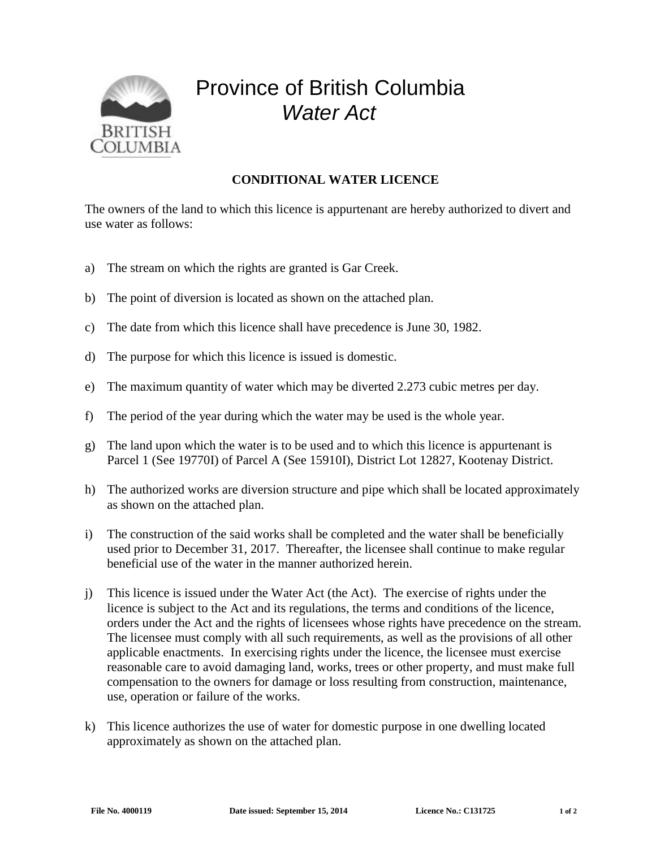

## Province of British Columbia *Water Act*

## **CONDITIONAL WATER LICENCE**

The owners of the land to which this licence is appurtenant are hereby authorized to divert and use water as follows:

- a) The stream on which the rights are granted is Gar Creek.
- b) The point of diversion is located as shown on the attached plan.
- c) The date from which this licence shall have precedence is June 30, 1982.
- d) The purpose for which this licence is issued is domestic.
- e) The maximum quantity of water which may be diverted 2.273 cubic metres per day.
- f) The period of the year during which the water may be used is the whole year.
- g) The land upon which the water is to be used and to which this licence is appurtenant is Parcel 1 (See 19770I) of Parcel A (See 15910I), District Lot 12827, Kootenay District.
- h) The authorized works are diversion structure and pipe which shall be located approximately as shown on the attached plan.
- i) The construction of the said works shall be completed and the water shall be beneficially used prior to December 31, 2017. Thereafter, the licensee shall continue to make regular beneficial use of the water in the manner authorized herein.
- j) This licence is issued under the Water Act (the Act). The exercise of rights under the licence is subject to the Act and its regulations, the terms and conditions of the licence, orders under the Act and the rights of licensees whose rights have precedence on the stream. The licensee must comply with all such requirements, as well as the provisions of all other applicable enactments. In exercising rights under the licence, the licensee must exercise reasonable care to avoid damaging land, works, trees or other property, and must make full compensation to the owners for damage or loss resulting from construction, maintenance, use, operation or failure of the works.
- k) This licence authorizes the use of water for domestic purpose in one dwelling located approximately as shown on the attached plan.